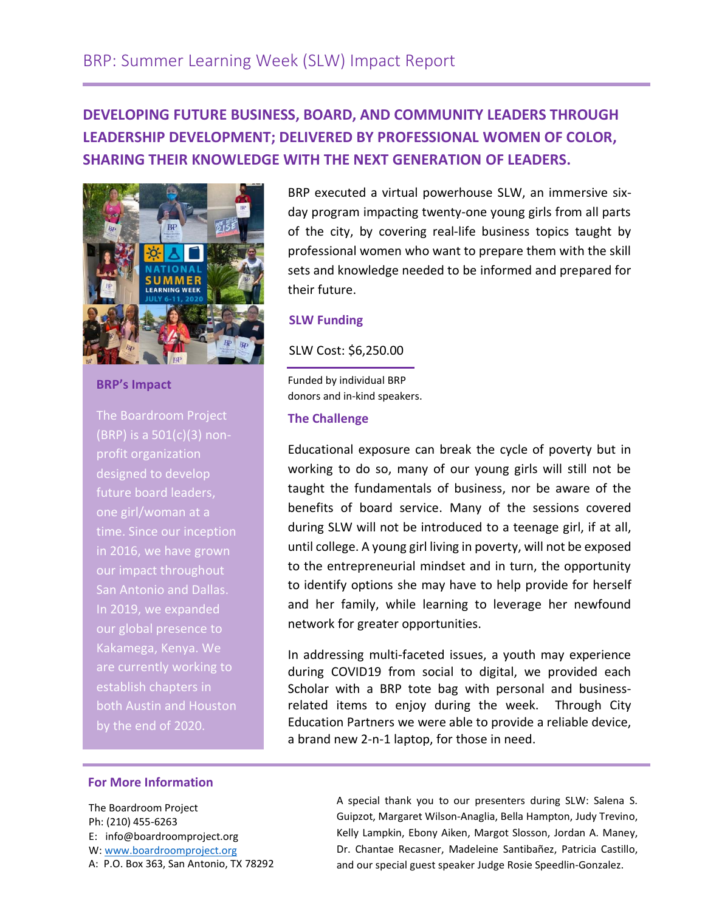# **DEVELOPING FUTURE BUSINESS, BOARD, AND COMMUNITY LEADERS THROUGH LEADERSHIP DEVELOPMENT; DELIVERED BY PROFESSIONAL WOMEN OF COLOR, SHARING THEIR KNOWLEDGE WITH THE NEXT GENERATION OF LEADERS.**



**BRP's Impact**

The Boardroom Project (BRP) is a 501(c)(3) nonprofit organization designed to develop future board leaders, one girl/woman at a time. Since our inception in 2016, we have grown our impact throughout San Antonio and Dallas. In 2019, we expanded our global presence to Kakamega, Kenya. We are currently working to establish chapters in both Austin and Houston by the end of 2020.

BRP executed a virtual powerhouse SLW, an immersive sixday program impacting twenty-one young girls from all parts of the city, by covering real-life business topics taught by professional women who want to prepare them with the skill sets and knowledge needed to be informed and prepared for their future.

### **SLW Funding**

SLW Cost: \$6,250.00

 Funded by individual BRP donors and in-kind speakers.

## **The Challenge**

Educational exposure can break the cycle of poverty but in working to do so, many of our young girls will still not be taught the fundamentals of business, nor be aware of the benefits of board service. Many of the sessions covered during SLW will not be introduced to a teenage girl, if at all, until college. A young girl living in poverty, will not be exposed to the entrepreneurial mindset and in turn, the opportunity to identify options she may have to help provide for herself and her family, while learning to leverage her newfound network for greater opportunities.

In addressing multi-faceted issues, a youth may experience during COVID19 from social to digital, we provided each Scholar with a BRP tote bag with personal and businessrelated items to enjoy during the week. Through City Education Partners we were able to provide a reliable device, a brand new 2-n-1 laptop, for those in need.

**BRP intends to develop a strong pipeline of**

### **For More Information**

The Boardroom Project Ph: (210) 455-6263 E: info@boardroomproject.org W[: www.boardroomproject.org](http://www.boardroomproject.org/) A: P.O. Box 363, San Antonio, TX 78292 **young girls and professional women to be** A special thank you to our presenters during SLW: Salena S. **the next generation of business, board, and** Guipzot, Margaret Wilson-Anaglia, Bella Hampton, Judy Trevino, **community leaders to sustain themselves** Dr. Chantae Recasner, Madeleine Santibañez, Patricia Castillo, **and their community.** and our special guest speaker Judge Rosie Speedlin-Gonzalez. Kelly Lampkin, Ebony Aiken, Margot Slosson, Jordan A. Maney,